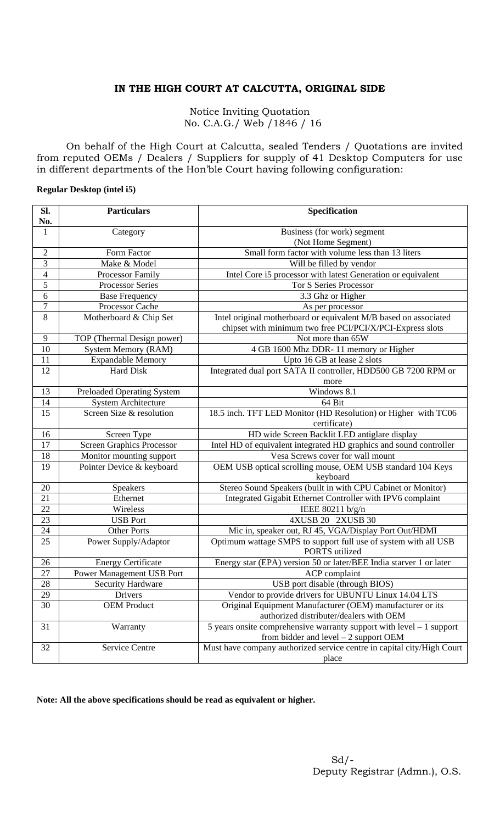## **IN THE HIGH COURT AT CALCUTTA, ORIGINAL SIDE**

Notice Inviting Quotation No. C.A.G./ Web /1846 / 16

On behalf of the High Court at Calcutta, sealed Tenders / Quotations are invited from reputed OEMs / Dealers / Suppliers for supply of 41 Desktop Computers for use in different departments of the Hon'ble Court having following configuration:

## **Regular Desktop (intel i5)**

| Sl.            | <b>Particulars</b>                | Specification                                                                     |
|----------------|-----------------------------------|-----------------------------------------------------------------------------------|
| No.            |                                   |                                                                                   |
| 1              | Category                          | Business (for work) segment                                                       |
|                |                                   | (Not Home Segment)                                                                |
| $\overline{2}$ | Form Factor                       | Small form factor with volume less than 13 liters                                 |
| $\overline{3}$ | Make & Model                      | Will be filled by vendor                                                          |
| $\overline{4}$ | Processor Family                  | Intel Core i5 processor with latest Generation or equivalent                      |
| 5              | <b>Processor Series</b>           | <b>Tor S Series Processor</b>                                                     |
| 6              | <b>Base Frequency</b>             | 3.3 Ghz or Higher                                                                 |
| $\overline{7}$ | Processor Cache                   | As per processor                                                                  |
| 8              | Motherboard & Chip Set            | Intel original motherboard or equivalent M/B based on associated                  |
|                |                                   | chipset with minimum two free PCI/PCI/X/PCI-Express slots                         |
| 9              | TOP (Thermal Design power)        | Not more than 65W                                                                 |
| 10             | <b>System Memory (RAM)</b>        | 4 GB 1600 Mhz DDR-11 memory or Higher                                             |
| 11             | <b>Expandable Memory</b>          | Upto 16 GB at lease 2 slots                                                       |
| 12             | Hard Disk                         | Integrated dual port SATA II controller, HDD500 GB 7200 RPM or                    |
|                |                                   | more                                                                              |
| 13             | <b>Preloaded Operating System</b> | Windows 8.1                                                                       |
| 14             | <b>System Architecture</b>        | 64 Bit                                                                            |
| 15             | Screen Size & resolution          | 18.5 inch. TFT LED Monitor (HD Resolution) or Higher with TC06                    |
|                |                                   | certificate)                                                                      |
| 16             | Screen Type                       | HD wide Screen Backlit LED antiglare display                                      |
| 17             | <b>Screen Graphics Processor</b>  | Intel HD of equivalent integrated HD graphics and sound controller                |
| 18             | Monitor mounting support          | Vesa Screws cover for wall mount                                                  |
| 19             | Pointer Device & keyboard         | OEM USB optical scrolling mouse, OEM USB standard 104 Keys                        |
|                |                                   | keyboard                                                                          |
| 20             | Speakers                          | Stereo Sound Speakers (built in with CPU Cabinet or Monitor)                      |
| 21             | Ethernet                          | Integrated Gigabit Ethernet Controller with IPV6 complaint                        |
| 22             | Wireless                          | IEEE $80211 b/g/n$                                                                |
| 23             | <b>USB Port</b>                   | 4XUSB 20 2XUSB 30                                                                 |
| 24             | <b>Other Ports</b>                | Mic in, speaker out, RJ 45, VGA/Display Port Out/HDMI                             |
| 25             | Power Supply/Adaptor              | Optimum wattage SMPS to support full use of system with all USB<br>PORTS utilized |
| 26             | <b>Energy Certificate</b>         | Energy star (EPA) version 50 or later/BEE India starver 1 or later                |
| 27             | Power Management USB Port         | ACP complaint                                                                     |
| 28             | <b>Security Hardware</b>          | USB port disable (through BIOS)                                                   |
| 29             | Drivers                           | Vendor to provide drivers for UBUNTU Linux 14.04 LTS                              |
| 30             | <b>OEM Product</b>                | Original Equipment Manufacturer (OEM) manufacturer or its                         |
|                |                                   | authorized distributer/dealers with OEM                                           |
| 31             | Warranty                          | 5 years onsite comprehensive warranty support with level $-1$ support             |
|                |                                   | from bidder and level $-2$ support OEM                                            |
| 32             | Service Centre                    | Must have company authorized service centre in capital city/High Court            |
|                |                                   | place                                                                             |

**Note: All the above specifications should be read as equivalent or higher.**